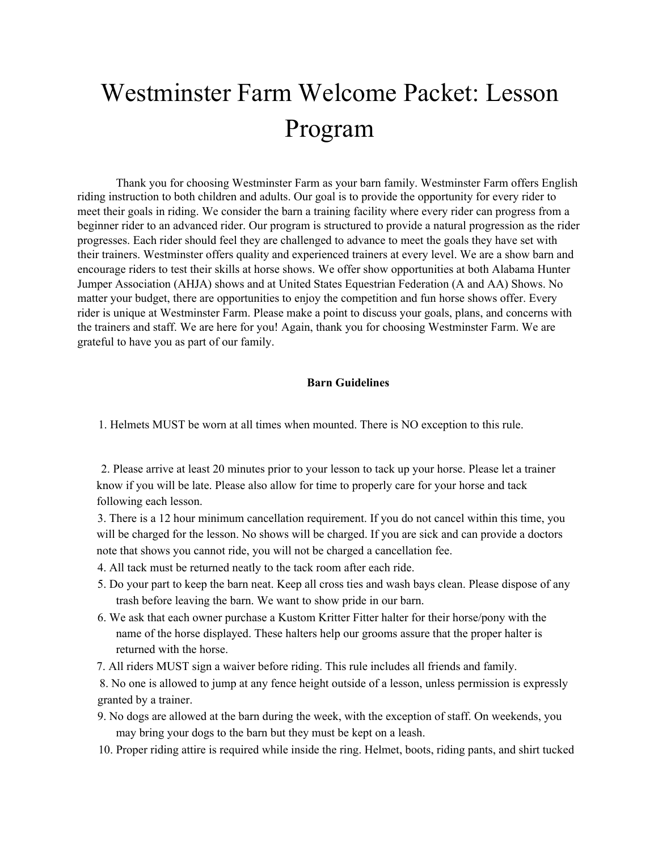# Westminster Farm Welcome Packet: Lesson Program

Thank you for choosing Westminster Farm as your barn family. Westminster Farm offers English riding instruction to both children and adults. Our goal is to provide the opportunity for every rider to meet their goals in riding. We consider the barn a training facility where every rider can progress from a beginner rider to an advanced rider. Our program is structured to provide a natural progression as the rider progresses. Each rider should feel they are challenged to advance to meet the goals they have set with their trainers. Westminster offers quality and experienced trainers at every level. We are a show barn and encourage riders to test their skills at horse shows. We offer show opportunities at both Alabama Hunter Jumper Association (AHJA) shows and at United States Equestrian Federation (A and AA) Shows. No matter your budget, there are opportunities to enjoy the competition and fun horse shows offer. Every rider is unique at Westminster Farm. Please make a point to discuss your goals, plans, and concerns with the trainers and staff. We are here for you! Again, thank you for choosing Westminster Farm. We are grateful to have you as part of our family.

#### **Barn Guidelines**

1. Helmets MUST be worn at all times when mounted. There is NO exception to this rule.

2. Please arrive at least 20 minutes prior to your lesson to tack up your horse. Please let a trainer know if you will be late. Please also allow for time to properly care for your horse and tack following each lesson.

3. There is a 12 hour minimum cancellation requirement. If you do not cancel within this time, you will be charged for the lesson. No shows will be charged. If you are sick and can provide a doctors note that shows you cannot ride, you will not be charged a cancellation fee.

4. All tack must be returned neatly to the tack room after each ride.

- 5. Do your part to keep the barn neat. Keep all cross ties and wash bays clean. Please dispose of any trash before leaving the barn. We want to show pride in our barn.
- 6. We ask that each owner purchase a Kustom Kritter Fitter halter for their horse/pony with the name of the horse displayed. These halters help our grooms assure that the proper halter is returned with the horse.
- 7. All riders MUST sign a waiver before riding. This rule includes all friends and family.

8. No one is allowed to jump at any fence height outside of a lesson, unless permission is expressly granted by a trainer.

- 9. No dogs are allowed at the barn during the week, with the exception of staff. On weekends, you may bring your dogs to the barn but they must be kept on a leash.
- 10. Proper riding attire is required while inside the ring. Helmet, boots, riding pants, and shirt tucked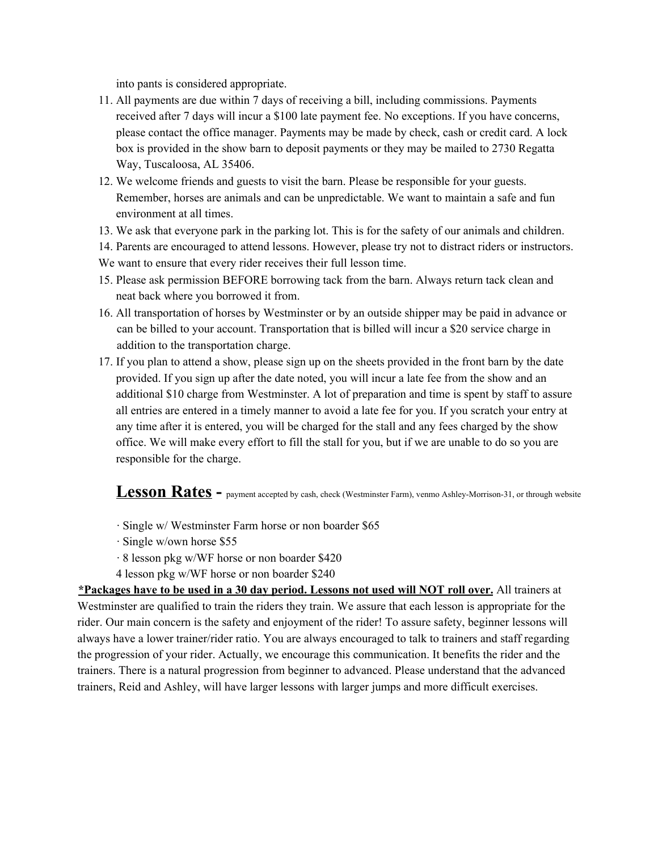into pants is considered appropriate.

- 11. All payments are due within 7 days of receiving a bill, including commissions. Payments received after 7 days will incur a \$100 late payment fee. No exceptions. If you have concerns, please contact the office manager. Payments may be made by check, cash or credit card. A lock box is provided in the show barn to deposit payments or they may be mailed to 2730 Regatta Way, Tuscaloosa, AL 35406.
- 12. We welcome friends and guests to visit the barn. Please be responsible for your guests. Remember, horses are animals and can be unpredictable. We want to maintain a safe and fun environment at all times.
- 13. We ask that everyone park in the parking lot. This is for the safety of our animals and children.
- 14. Parents are encouraged to attend lessons. However, please try not to distract riders or instructors.
- We want to ensure that every rider receives their full lesson time.
- 15. Please ask permission BEFORE borrowing tack from the barn. Always return tack clean and neat back where you borrowed it from.
- 16. All transportation of horses by Westminster or by an outside shipper may be paid in advance or can be billed to your account. Transportation that is billed will incur a \$20 service charge in addition to the transportation charge.
- 17. If you plan to attend a show, please sign up on the sheets provided in the front barn by the date provided. If you sign up after the date noted, you will incur a late fee from the show and an additional \$10 charge from Westminster. A lot of preparation and time is spent by staff to assure all entries are entered in a timely manner to avoid a late fee for you. If you scratch your entry at any time after it is entered, you will be charged for the stall and any fees charged by the show office. We will make every effort to fill the stall for you, but if we are unable to do so you are responsible for the charge.

**Lesson Rates -** payment accepted by cash, check (Westminster Farm), venmo Ashley-Morrison-31, or through website

- · Single w/ Westminster Farm horse or non boarder \$65
- · Single w/own horse \$55
- · 8 lesson pkg w/WF horse or non boarder \$420
- 4 lesson pkg w/WF horse or non boarder \$240

**\*Packages have to be used in a 30 day period. Lessons not used will NOT roll over.** All trainers at Westminster are qualified to train the riders they train. We assure that each lesson is appropriate for the rider. Our main concern is the safety and enjoyment of the rider! To assure safety, beginner lessons will always have a lower trainer/rider ratio. You are always encouraged to talk to trainers and staff regarding the progression of your rider. Actually, we encourage this communication. It benefits the rider and the trainers. There is a natural progression from beginner to advanced. Please understand that the advanced trainers, Reid and Ashley, will have larger lessons with larger jumps and more difficult exercises.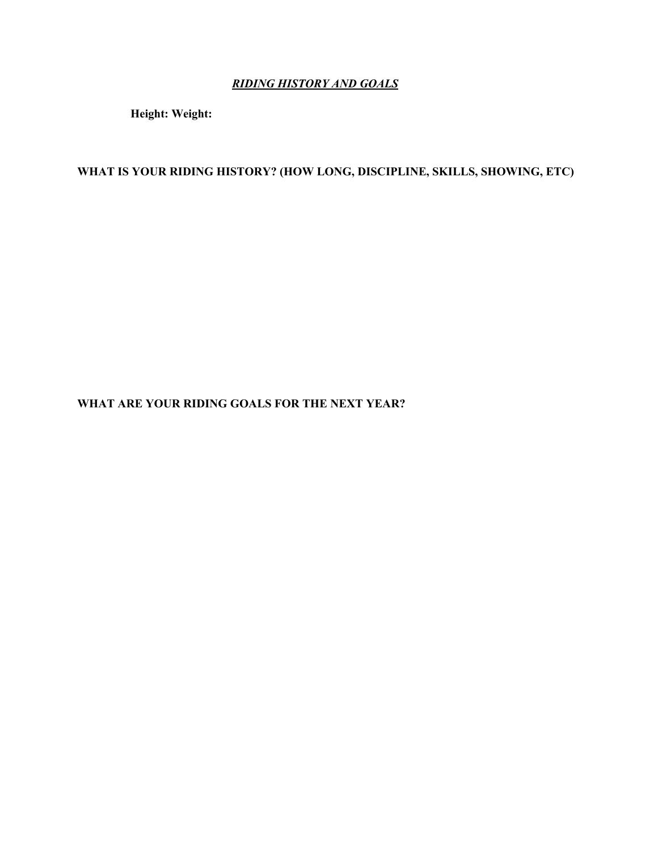### *RIDING HISTORY AND GOALS*

**Height: Weight:**

# **WHAT IS YOUR RIDING HISTORY? (HOW LONG, DISCIPLINE, SKILLS, SHOWING, ETC)**

**WHAT ARE YOUR RIDING GOALS FOR THE NEXT YEAR?**